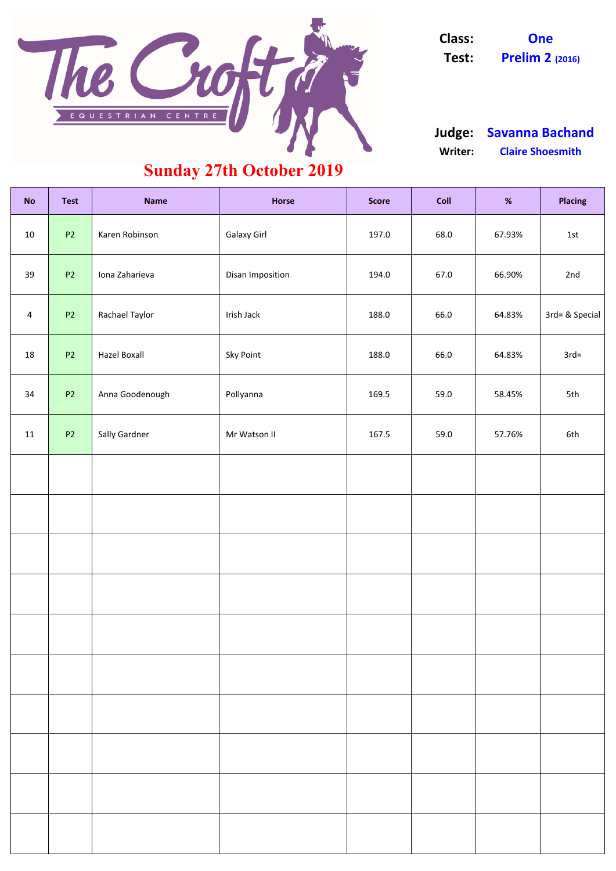| <b>No</b>      | <b>Test</b> | <b>Name</b>         | <b>Horse</b>       | <b>Score</b> | Coll | %      | <b>Placing</b> |
|----------------|-------------|---------------------|--------------------|--------------|------|--------|----------------|
| 10             | <b>P2</b>   | Karen Robinson      | <b>Galaxy Girl</b> | 197.0        | 68.0 | 67.93% | 1st            |
| 39             | <b>P2</b>   | Iona Zaharieva      | Disan Imposition   | 194.0        | 67.0 | 66.90% | 2nd            |
| $\overline{4}$ | <b>P2</b>   | Rachael Taylor      | Irish Jack         | 188.0        | 66.0 | 64.83% | 3rd= & Special |
| 18             | <b>P2</b>   | <b>Hazel Boxall</b> | <b>Sky Point</b>   | 188.0        | 66.0 | 64.83% | $3rd=$         |
| 34             | <b>P2</b>   | Anna Goodenough     | Pollyanna          | 169.5        | 59.0 | 58.45% | 5th            |
| 11             | <b>P2</b>   | Sally Gardner       | Mr Watson II       | 167.5        | 59.0 | 57.76% | 6th            |
|                |             |                     |                    |              |      |        |                |
|                |             |                     |                    |              |      |        |                |
|                |             |                     |                    |              |      |        |                |
|                |             |                     |                    |              |      |        |                |
|                |             |                     |                    |              |      |        |                |
|                |             |                     |                    |              |      |        |                |
|                |             |                     |                    |              |      |        |                |
|                |             |                     |                    |              |      |        |                |
|                |             |                     |                    |              |      |        |                |
|                |             |                     |                    |              |      |        |                |



**Class: One Test: Prelim 2 (2016)**

#### **Writer: Claire Shoesmith Judge: Savanna Bachand**

## **Sunday 27th October 2019**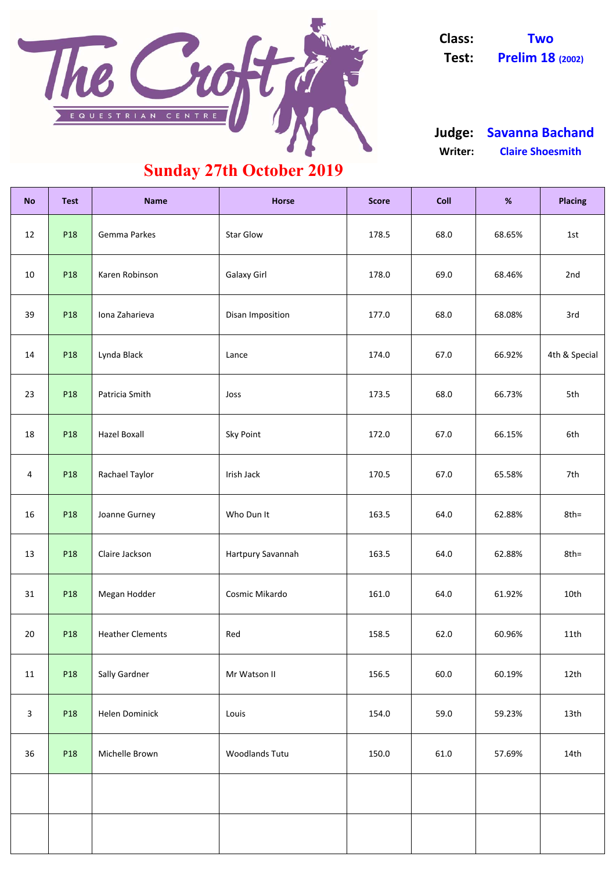| <b>No</b> | <b>Test</b>     | <b>Name</b>             | <b>Horse</b>       | <b>Score</b> | <b>Coll</b> | %      | <b>Placing</b> |
|-----------|-----------------|-------------------------|--------------------|--------------|-------------|--------|----------------|
| 12        | P18             | <b>Gemma Parkes</b>     | <b>Star Glow</b>   | 178.5        | 68.0        | 68.65% | 1st            |
| 10        | P <sub>18</sub> | Karen Robinson          | <b>Galaxy Girl</b> | 178.0        | 69.0        | 68.46% | 2nd            |
| 39        | P <sub>18</sub> | Iona Zaharieva          | Disan Imposition   | 177.0        | 68.0        | 68.08% | 3rd            |
| 14        | P <sub>18</sub> | Lynda Black             | Lance              | 174.0        | 67.0        | 66.92% | 4th & Special  |
| 23        | P <sub>18</sub> | Patricia Smith          | Joss               | 173.5        | 68.0        | 66.73% | 5th            |
| 18        | P <sub>18</sub> | <b>Hazel Boxall</b>     | <b>Sky Point</b>   | 172.0        | 67.0        | 66.15% | 6th            |
| 4         | P <sub>18</sub> | Rachael Taylor          | Irish Jack         | 170.5        | 67.0        | 65.58% | 7th            |
| 16        | P18             | Joanne Gurney           | Who Dun It         | 163.5        | 64.0        | 62.88% | $8th =$        |
| 13        | P <sub>18</sub> | Claire Jackson          | Hartpury Savannah  | 163.5        | 64.0        | 62.88% | $8th =$        |
| 31        | P18             | Megan Hodder            | Cosmic Mikardo     | 161.0        | 64.0        | 61.92% | 10th           |
| 20        | P <sub>18</sub> | <b>Heather Clements</b> | Red                | 158.5        | 62.0        | 60.96% | 11th           |

| 11             | <b>P18</b> | <b>Sally Gardner</b> | Mr Watson II          | 156.5 | 60.0 | 60.19% | 12 <sub>th</sub> |
|----------------|------------|----------------------|-----------------------|-------|------|--------|------------------|
| $\overline{3}$ | P18        | Helen Dominick       | Louis                 | 154.0 | 59.0 | 59.23% | 13 <sub>th</sub> |
| 36             | P18        | Michelle Brown       | <b>Woodlands Tutu</b> | 150.0 | 61.0 | 57.69% | 14th             |
|                |            |                      |                       |       |      |        |                  |
|                |            |                      |                       |       |      |        |                  |

#### **Writer: Claire Shoesmith Judge: Savanna Bachand**

## **Sunday 27th October 2019**



**Class: Two Test: Prelim 18 (2002)**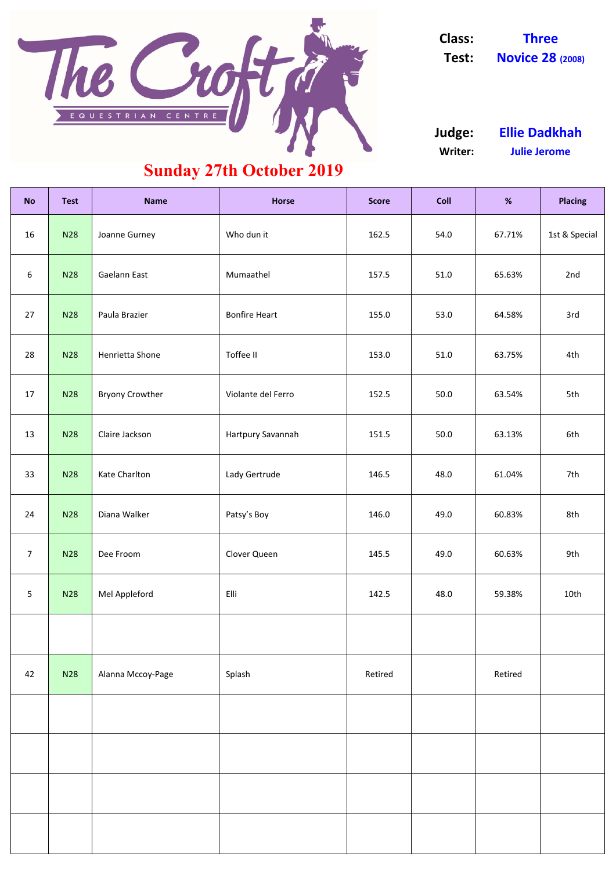| <b>No</b>        | <b>Test</b> | <b>Name</b>            | <b>Horse</b>         | <b>Score</b> | <b>Coll</b> | $\%$    | <b>Placing</b> |
|------------------|-------------|------------------------|----------------------|--------------|-------------|---------|----------------|
| 16               | <b>N28</b>  | Joanne Gurney          | Who dun it           | 162.5        | 54.0        | 67.71%  | 1st & Special  |
| $\boldsymbol{6}$ | <b>N28</b>  | Gaelann East           | Mumaathel            | 157.5        | 51.0        | 65.63%  | 2nd            |
| 27               | <b>N28</b>  | Paula Brazier          | <b>Bonfire Heart</b> | 155.0        | 53.0        | 64.58%  | 3rd            |
| 28               | <b>N28</b>  | Henrietta Shone        | Toffee II            | 153.0        | 51.0        | 63.75%  | 4th            |
| 17               | <b>N28</b>  | <b>Bryony Crowther</b> | Violante del Ferro   | 152.5        | 50.0        | 63.54%  | 5th            |
| 13               | <b>N28</b>  | Claire Jackson         | Hartpury Savannah    | 151.5        | 50.0        | 63.13%  | 6th            |
| 33               | <b>N28</b>  | Kate Charlton          | Lady Gertrude        | 146.5        | 48.0        | 61.04%  | 7th            |
| 24               | N28         | Diana Walker           | Patsy's Boy          | 146.0        | 49.0        | 60.83%  | 8th            |
| $\overline{7}$   | <b>N28</b>  | Dee Froom              | Clover Queen         | 145.5        | 49.0        | 60.63%  | 9th            |
| $5\phantom{.0}$  | <b>N28</b>  | Mel Appleford          | Elli                 | 142.5        | 48.0        | 59.38%  | 10th           |
|                  |             |                        |                      |              |             |         |                |
| 42               | <b>N28</b>  | Alanna Mccoy-Page      | Splash               | Retired      |             | Retired |                |
|                  |             |                        |                      |              |             |         |                |
|                  |             |                        |                      |              |             |         |                |
|                  |             |                        |                      |              |             |         |                |
|                  |             |                        |                      |              |             |         |                |

**Writer: Julie Jerome Judge: Ellie Dadkhah**

# **Sunday 27th October 2019**



**Class: Three Test: Novice 28 (2008)**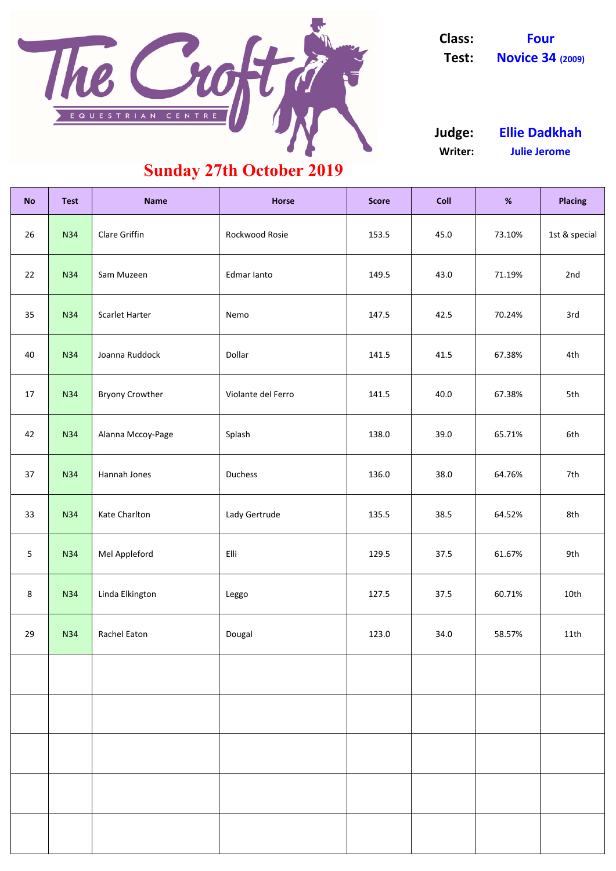| <b>No</b>       | <b>Test</b> | <b>Name</b>            | <b>Horse</b>       | <b>Score</b> | <b>Coll</b> | $\%$   | <b>Placing</b> |
|-----------------|-------------|------------------------|--------------------|--------------|-------------|--------|----------------|
| 26              | <b>N34</b>  | Clare Griffin          | Rockwood Rosie     | 153.5        | 45.0        | 73.10% | 1st & special  |
| 22              | <b>N34</b>  | Sam Muzeen             | Edmar lanto        | 149.5        | 43.0        | 71.19% | 2nd            |
| 35              | <b>N34</b>  | Scarlet Harter         | Nemo               | 147.5        | 42.5        | 70.24% | 3rd            |
| 40              | <b>N34</b>  | Joanna Ruddock         | Dollar             | 141.5        | 41.5        | 67.38% | 4th            |
| 17              | <b>N34</b>  | <b>Bryony Crowther</b> | Violante del Ferro | 141.5        | 40.0        | 67.38% | 5th            |
| 42              | <b>N34</b>  | Alanna Mccoy-Page      | Splash             | 138.0        | 39.0        | 65.71% | 6th            |
| 37              | <b>N34</b>  | Hannah Jones           | Duchess            | 136.0        | 38.0        | 64.76% | 7th            |
| 33              | N34         | Kate Charlton          | Lady Gertrude      | 135.5        | 38.5        | 64.52% | 8th            |
| $5\overline{)}$ | <b>N34</b>  | Mel Appleford          | Elli               | 129.5        | 37.5        | 61.67% | 9th            |
| 8               | <b>N34</b>  | Linda Elkington        | Leggo              | 127.5        | 37.5        | 60.71% | 10th           |
| 29              | <b>N34</b>  | Rachel Eaton           | Dougal             | 123.0        | 34.0        | 58.57% | 11th           |
|                 |             |                        |                    |              |             |        |                |
|                 |             |                        |                    |              |             |        |                |
|                 |             |                        |                    |              |             |        |                |
|                 |             |                        |                    |              |             |        |                |
|                 |             |                        |                    |              |             |        |                |

**Writer: Julie Jerome Judge: Ellie Dadkhah**

# **Sunday 27th October 2019**



**Class: Four Test: Novice 34 (2009)**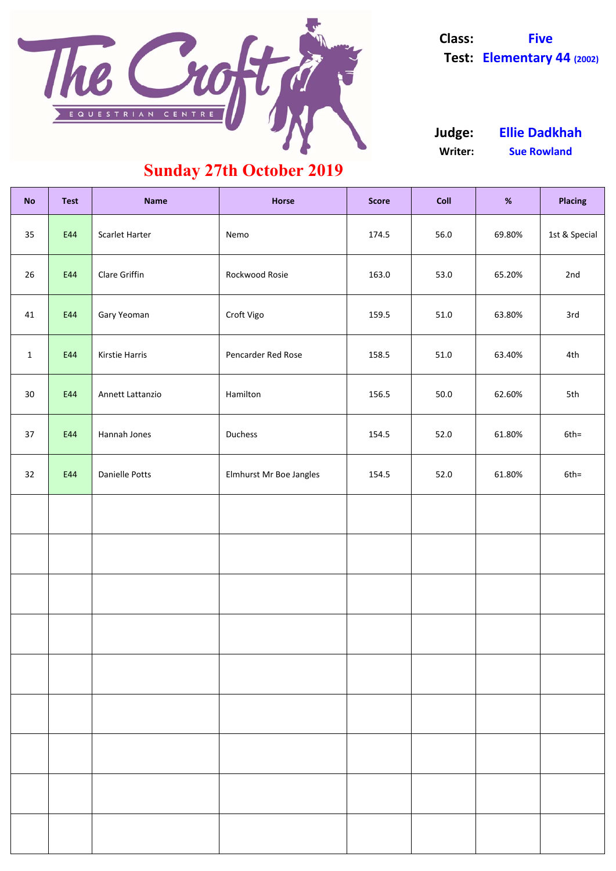| <b>No</b>       | <b>Test</b> | <b>Name</b>      | <b>Horse</b>            | <b>Score</b> | <b>Coll</b> | %      | <b>Placing</b> |
|-----------------|-------------|------------------|-------------------------|--------------|-------------|--------|----------------|
| 35              | E44         | Scarlet Harter   | Nemo                    | 174.5        | 56.0        | 69.80% | 1st & Special  |
| 26              | E44         | Clare Griffin    | Rockwood Rosie          | 163.0        | 53.0        | 65.20% | 2nd            |
| 41              | E44         | Gary Yeoman      | Croft Vigo              | 159.5        | 51.0        | 63.80% | 3rd            |
| $\mathbf{1}$    | E44         | Kirstie Harris   | Pencarder Red Rose      | 158.5        | 51.0        | 63.40% | 4th            |
| 30 <sup>°</sup> | E44         | Annett Lattanzio | Hamilton                | 156.5        | 50.0        | 62.60% | 5th            |
| 37              | E44         | Hannah Jones     | Duchess                 | 154.5        | 52.0        | 61.80% | $6th =$        |
| 32              | E44         | Danielle Potts   | Elmhurst Mr Boe Jangles | 154.5        | 52.0        | 61.80% | $6th =$        |
|                 |             |                  |                         |              |             |        |                |
|                 |             |                  |                         |              |             |        |                |
|                 |             |                  |                         |              |             |        |                |
|                 |             |                  |                         |              |             |        |                |
|                 |             |                  |                         |              |             |        |                |
|                 |             |                  |                         |              |             |        |                |
|                 |             |                  |                         |              |             |        |                |
|                 |             |                  |                         |              |             |        |                |
|                 |             |                  |                         |              |             |        |                |



**Class: Five Test: Elementary 44 (2002)**

**Writer: Sue Rowland Judge: Ellie Dadkhah**

### **Sunday 27th October 2019**